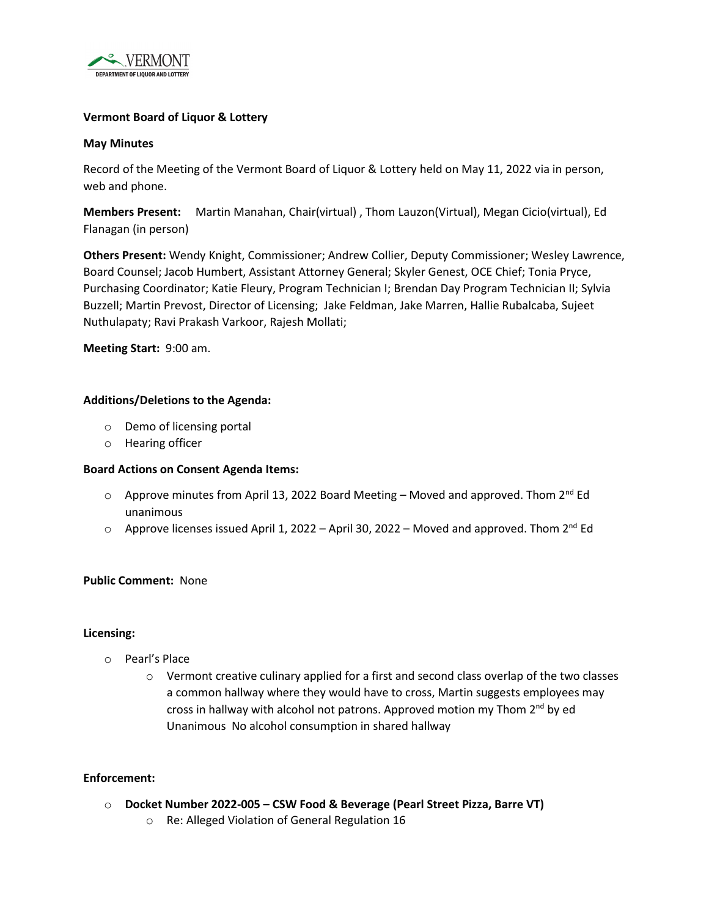

## **Vermont Board of Liquor & Lottery**

#### **May Minutes**

Record of the Meeting of the Vermont Board of Liquor & Lottery held on May 11, 2022 via in person, web and phone.

**Members Present:** Martin Manahan, Chair(virtual) , Thom Lauzon(Virtual), Megan Cicio(virtual), Ed Flanagan (in person)

**Others Present:** Wendy Knight, Commissioner; Andrew Collier, Deputy Commissioner; Wesley Lawrence, Board Counsel; Jacob Humbert, Assistant Attorney General; Skyler Genest, OCE Chief; Tonia Pryce, Purchasing Coordinator; Katie Fleury, Program Technician I; Brendan Day Program Technician II; Sylvia Buzzell; Martin Prevost, Director of Licensing; Jake Feldman, Jake Marren, Hallie Rubalcaba, Sujeet Nuthulapaty; Ravi Prakash Varkoor, Rajesh Mollati;

**Meeting Start:** 9:00 am.

### **Additions/Deletions to the Agenda:**

- o Demo of licensing portal
- o Hearing officer

#### **Board Actions on Consent Agenda Items:**

- $\circ$  Approve minutes from April 13, 2022 Board Meeting Moved and approved. Thom 2<sup>nd</sup> Ed unanimous
- $\circ$  Approve licenses issued April 1, 2022 April 30, 2022 Moved and approved. Thom 2<sup>nd</sup> Ed

#### **Public Comment:** None

#### **Licensing:**

- o Pearl's Place
	- $\circ$  Vermont creative culinary applied for a first and second class overlap of the two classes a common hallway where they would have to cross, Martin suggests employees may cross in hallway with alcohol not patrons. Approved motion my Thom 2<sup>nd</sup> by ed Unanimous No alcohol consumption in shared hallway

#### **Enforcement:**

- o **Docket Number 2022-005 CSW Food & Beverage (Pearl Street Pizza, Barre VT)**
	- o Re: Alleged Violation of General Regulation 16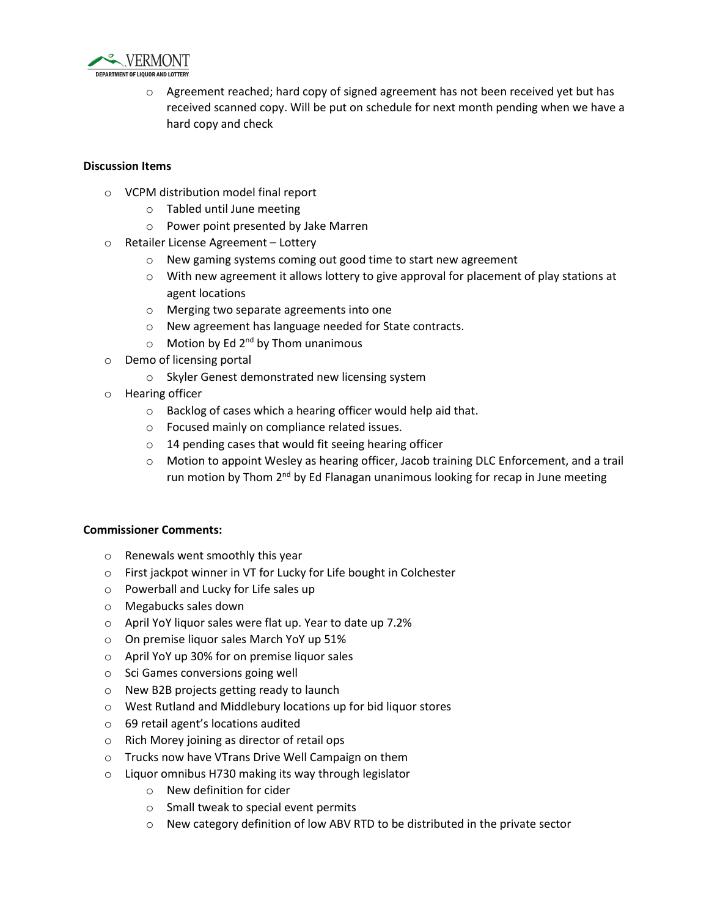

 $\circ$  Agreement reached; hard copy of signed agreement has not been received yet but has received scanned copy. Will be put on schedule for next month pending when we have a hard copy and check

## **Discussion Items**

- o VCPM distribution model final report
	- o Tabled until June meeting
	- o Power point presented by Jake Marren
- o Retailer License Agreement Lottery
	- o New gaming systems coming out good time to start new agreement
	- $\circ$  With new agreement it allows lottery to give approval for placement of play stations at agent locations
	- o Merging two separate agreements into one
	- o New agreement has language needed for State contracts.
	- $\circ$  Motion by Ed 2<sup>nd</sup> by Thom unanimous
- o Demo of licensing portal
	- o Skyler Genest demonstrated new licensing system
- o Hearing officer
	- o Backlog of cases which a hearing officer would help aid that.
	- o Focused mainly on compliance related issues.
	- o 14 pending cases that would fit seeing hearing officer
	- o Motion to appoint Wesley as hearing officer, Jacob training DLC Enforcement, and a trail run motion by Thom 2<sup>nd</sup> by Ed Flanagan unanimous looking for recap in June meeting

#### **Commissioner Comments:**

- o Renewals went smoothly this year
- o First jackpot winner in VT for Lucky for Life bought in Colchester
- o Powerball and Lucky for Life sales up
- o Megabucks sales down
- o April YoY liquor sales were flat up. Year to date up 7.2%
- o On premise liquor sales March YoY up 51%
- o April YoY up 30% for on premise liquor sales
- o Sci Games conversions going well
- o New B2B projects getting ready to launch
- o West Rutland and Middlebury locations up for bid liquor stores
- o 69 retail agent's locations audited
- o Rich Morey joining as director of retail ops
- o Trucks now have VTrans Drive Well Campaign on them
- o Liquor omnibus H730 making its way through legislator
	- o New definition for cider
	- o Small tweak to special event permits
	- $\circ$  New category definition of low ABV RTD to be distributed in the private sector